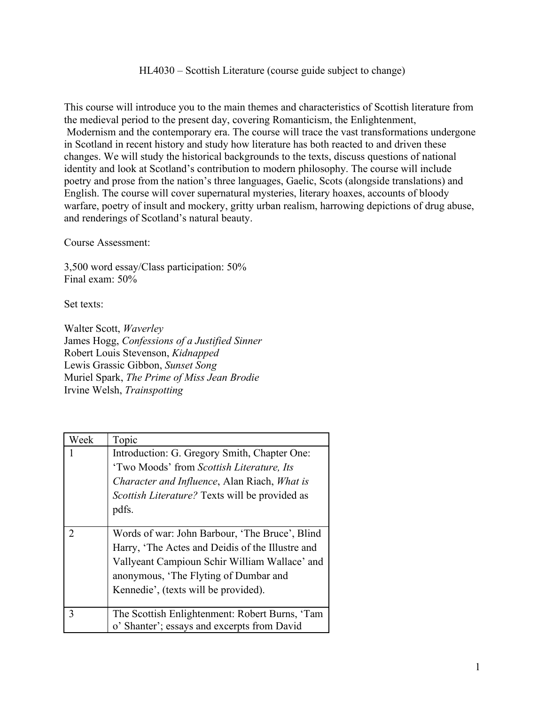HL4030 – Scottish Literature (course guide subject to change)

This course will introduce you to the main themes and characteristics of Scottish literature from the medieval period to the present day, covering Romanticism, the Enlightenment, Modernism and the contemporary era. The course will trace the vast transformations undergone in Scotland in recent history and study how literature has both reacted to and driven these changes. We will study the historical backgrounds to the texts, discuss questions of national identity and look at Scotland's contribution to modern philosophy. The course will include poetry and prose from the nation's three languages, Gaelic, Scots (alongside translations) and English. The course will cover supernatural mysteries, literary hoaxes, accounts of bloody warfare, poetry of insult and mockery, gritty urban realism, harrowing depictions of drug abuse, and renderings of Scotland's natural beauty.

Course Assessment:

3,500 word essay/Class participation: 50% Final exam: 50%

Set texts:

Walter Scott, *Waverley* James Hogg, *Confessions of a Justified Sinner* Robert Louis Stevenson, *Kidnapped* Lewis Grassic Gibbon, *Sunset Song* Muriel Spark, *The Prime of Miss Jean Brodie* Irvine Welsh, *Trainspotting*

| Week                  | Topic                                                 |
|-----------------------|-------------------------------------------------------|
|                       | Introduction: G. Gregory Smith, Chapter One:          |
|                       | 'Two Moods' from Scottish Literature, Its             |
|                       | Character and Influence, Alan Riach, What is          |
|                       | <i>Scottish Literature?</i> Texts will be provided as |
|                       | pdfs.                                                 |
|                       |                                                       |
| $\mathcal{D}_{\cdot}$ | Words of war: John Barbour, 'The Bruce', Blind        |
|                       | Harry, 'The Actes and Deidis of the Illustre and      |
|                       | Vallyeant Campioun Schir William Wallace' and         |
|                       | anonymous, 'The Flyting of Dumbar and                 |
|                       | Kennedie', (texts will be provided).                  |
|                       |                                                       |
| 3                     | The Scottish Enlightenment: Robert Burns, 'Tam        |
|                       | o' Shanter'; essays and excerpts from David           |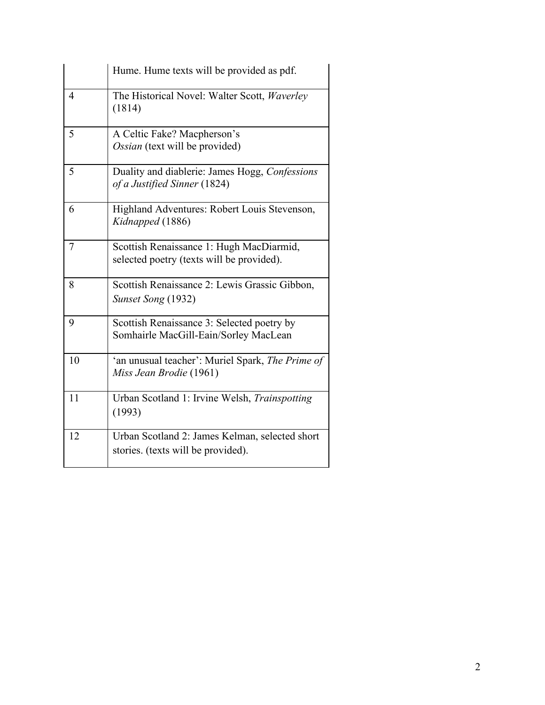|    | Hume. Hume texts will be provided as pdf.                                             |
|----|---------------------------------------------------------------------------------------|
| 4  | The Historical Novel: Walter Scott, Waverley<br>(1814)                                |
| 5  | A Celtic Fake? Macpherson's<br>Ossian (text will be provided)                         |
| 5  | Duality and diablerie: James Hogg, Confessions<br>of a Justified Sinner (1824)        |
| 6  | Highland Adventures: Robert Louis Stevenson,<br>Kidnapped (1886)                      |
| 7  | Scottish Renaissance 1: Hugh MacDiarmid,<br>selected poetry (texts will be provided). |
| 8  | Scottish Renaissance 2: Lewis Grassic Gibbon,<br>Sunset Song (1932)                   |
| 9  | Scottish Renaissance 3: Selected poetry by<br>Somhairle MacGill-Eain/Sorley MacLean   |
| 10 | 'an unusual teacher': Muriel Spark, The Prime of<br>Miss Jean Brodie (1961)           |
| 11 | Urban Scotland 1: Irvine Welsh, Trainspotting<br>(1993)                               |
| 12 | Urban Scotland 2: James Kelman, selected short<br>stories. (texts will be provided).  |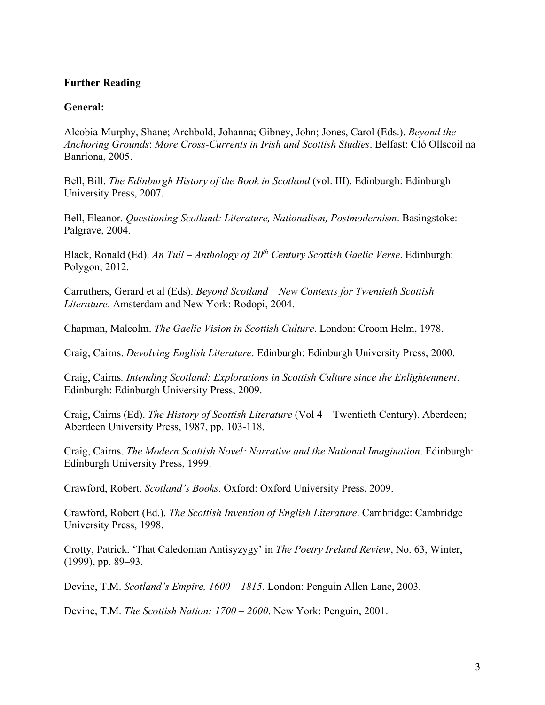#### **Further Reading**

#### **General:**

Alcobia-Murphy, Shane; Archbold, Johanna; Gibney, John; Jones, Carol (Eds.). *Beyond the Anchoring Grounds*: *More Cross-Currents in Irish and Scottish Studies*. Belfast: Cló Ollscoil na Banríona, 2005.

Bell, Bill. *The Edinburgh History of the Book in Scotland* (vol. III). Edinburgh: Edinburgh University Press, 2007.

Bell, Eleanor. *Questioning Scotland: Literature, Nationalism, Postmodernism*. Basingstoke: Palgrave, 2004.

Black, Ronald (Ed). *An Tuil – Anthology of 20th Century Scottish Gaelic Verse*. Edinburgh: Polygon, 2012.

Carruthers, Gerard et al (Eds). *Beyond Scotland – New Contexts for Twentieth Scottish Literature*. Amsterdam and New York: Rodopi, 2004.

Chapman, Malcolm. *The Gaelic Vision in Scottish Culture*. London: Croom Helm, 1978.

Craig, Cairns. *Devolving English Literature*. Edinburgh: Edinburgh University Press, 2000.

Craig, Cairns*. Intending Scotland: Explorations in Scottish Culture since the Enlightenment*. Edinburgh: Edinburgh University Press, 2009.

Craig, Cairns (Ed). *The History of Scottish Literature* (Vol 4 – Twentieth Century). Aberdeen; Aberdeen University Press, 1987, pp. 103-118.

Craig, Cairns. *The Modern Scottish Novel: Narrative and the National Imagination*. Edinburgh: Edinburgh University Press, 1999.

Crawford, Robert. *Scotland's Books*. Oxford: Oxford University Press, 2009.

Crawford, Robert (Ed.). *The Scottish Invention of English Literature*. Cambridge: Cambridge University Press, 1998.

Crotty, Patrick. 'That Caledonian Antisyzygy' in *The Poetry Ireland Review*, No. 63, Winter, (1999), pp. 89–93.

Devine, T.M. *Scotland's Empire, 1600* – *1815*. London: Penguin Allen Lane, 2003.

Devine, T.M. *The Scottish Nation: 1700* – *2000*. New York: Penguin, 2001.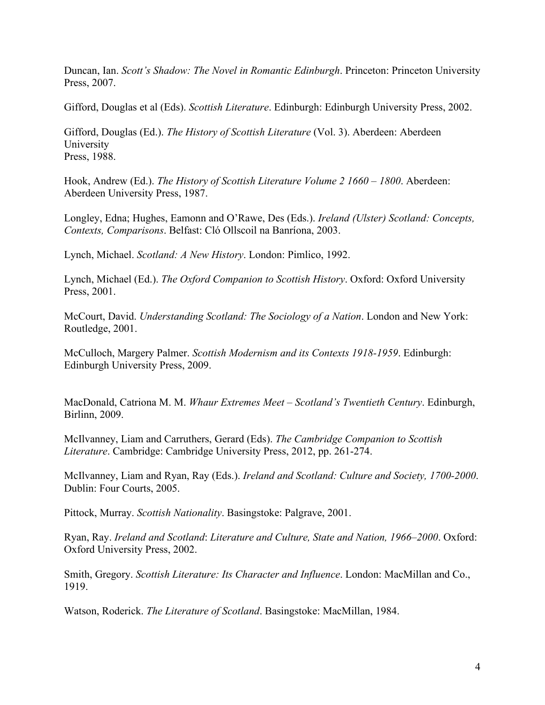Duncan, Ian. *Scott's Shadow: The Novel in Romantic Edinburgh*. Princeton: Princeton University Press, 2007.

Gifford, Douglas et al (Eds). *Scottish Literature*. Edinburgh: Edinburgh University Press, 2002.

Gifford, Douglas (Ed.). *The History of Scottish Literature* (Vol. 3). Aberdeen: Aberdeen University Press, 1988.

Hook, Andrew (Ed.). *The History of Scottish Literature Volume 2 1660 – 1800*. Aberdeen: Aberdeen University Press, 1987.

Longley, Edna; Hughes, Eamonn and O'Rawe, Des (Eds.). *Ireland (Ulster) Scotland: Concepts, Contexts, Comparisons*. Belfast: Cló Ollscoil na Banríona, 2003.

Lynch, Michael. *Scotland: A New History*. London: Pimlico, 1992.

Lynch, Michael (Ed.). *The Oxford Companion to Scottish History*. Oxford: Oxford University Press, 2001.

McCourt, David. *Understanding Scotland: The Sociology of a Nation*. London and New York: Routledge, 2001.

McCulloch, Margery Palmer. *Scottish Modernism and its Contexts 1918-1959*. Edinburgh: Edinburgh University Press, 2009.

MacDonald, Catriona M. M. *Whaur Extremes Meet – Scotland's Twentieth Century*. Edinburgh, Birlinn, 2009.

McIlvanney, Liam and Carruthers, Gerard (Eds). *The Cambridge Companion to Scottish Literature*. Cambridge: Cambridge University Press, 2012, pp. 261-274.

McIlvanney, Liam and Ryan, Ray (Eds.). *Ireland and Scotland: Culture and Society, 1700-2000*. Dublin: Four Courts, 2005.

Pittock, Murray. *Scottish Nationality*. Basingstoke: Palgrave, 2001.

Ryan, Ray. *Ireland and Scotland*: *Literature and Culture, State and Nation, 1966–2000*. Oxford: Oxford University Press, 2002.

Smith, Gregory. *Scottish Literature: Its Character and Influence*. London: MacMillan and Co., 1919.

Watson, Roderick. *The Literature of Scotland*. Basingstoke: MacMillan, 1984.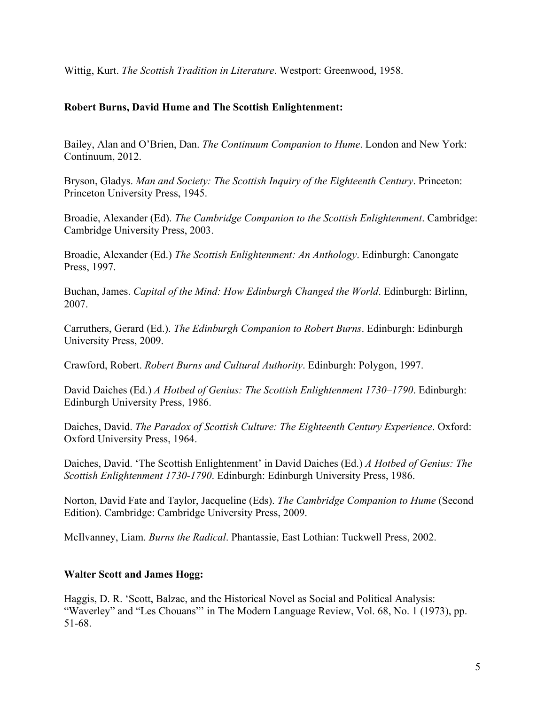Wittig, Kurt. *The Scottish Tradition in Literature*. Westport: Greenwood, 1958.

### **Robert Burns, David Hume and The Scottish Enlightenment:**

Bailey, Alan and O'Brien, Dan. *The Continuum Companion to Hume*. London and New York: Continuum, 2012.

Bryson, Gladys. *Man and Society: The Scottish Inquiry of the Eighteenth Century*. Princeton: Princeton University Press, 1945.

Broadie, Alexander (Ed). *The Cambridge Companion to the Scottish Enlightenment*. Cambridge: Cambridge University Press, 2003.

Broadie, Alexander (Ed.) *The Scottish Enlightenment: An Anthology*. Edinburgh: Canongate Press, 1997.

Buchan, James. *Capital of the Mind: How Edinburgh Changed the World*. Edinburgh: Birlinn, 2007.

Carruthers, Gerard (Ed.). *The Edinburgh Companion to Robert Burns*. Edinburgh: Edinburgh University Press, 2009.

Crawford, Robert. *Robert Burns and Cultural Authority*. Edinburgh: Polygon, 1997.

David Daiches (Ed.) *A Hotbed of Genius: The Scottish Enlightenment 1730–1790*. Edinburgh: Edinburgh University Press, 1986.

Daiches, David. *The Paradox of Scottish Culture: The Eighteenth Century Experience*. Oxford: Oxford University Press, 1964.

Daiches, David. 'The Scottish Enlightenment' in David Daiches (Ed.) *A Hotbed of Genius: The Scottish Enlightenment 1730-1790*. Edinburgh: Edinburgh University Press, 1986.

Norton, David Fate and Taylor, Jacqueline (Eds). *The Cambridge Companion to Hume* (Second Edition). Cambridge: Cambridge University Press, 2009.

McIlvanney, Liam. *Burns the Radical*. Phantassie, East Lothian: Tuckwell Press, 2002.

# **Walter Scott and James Hogg:**

Haggis, D. R. 'Scott, Balzac, and the Historical Novel as Social and Political Analysis: "Waverley" and "Les Chouans"' in The Modern Language Review, Vol. 68, No. 1 (1973), pp. 51-68.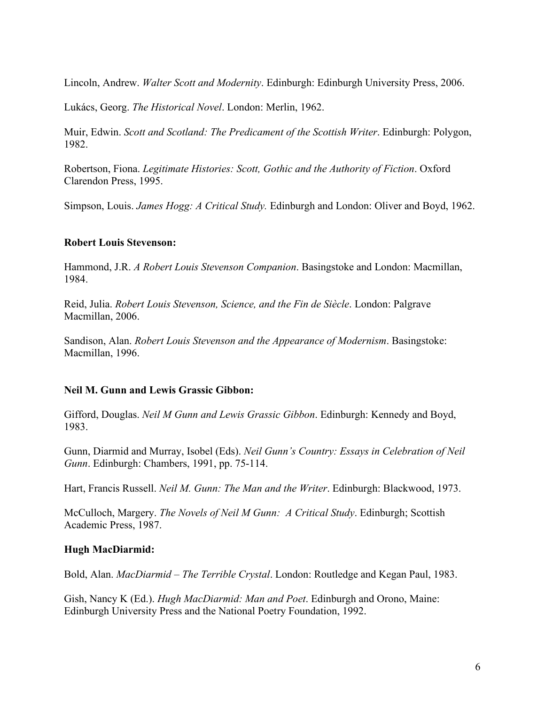Lincoln, Andrew. *Walter Scott and Modernity*. Edinburgh: Edinburgh University Press, 2006.

Lukács, Georg. *The Historical Novel*. London: Merlin, 1962.

Muir, Edwin. *Scott and Scotland: The Predicament of the Scottish Writer*. Edinburgh: Polygon, 1982.

Robertson, Fiona. *Legitimate Histories: Scott, Gothic and the Authority of Fiction*. Oxford Clarendon Press, 1995.

Simpson, Louis. *James Hogg: A Critical Study.* Edinburgh and London: Oliver and Boyd, 1962.

#### **Robert Louis Stevenson:**

Hammond, J.R. *A Robert Louis Stevenson Companion*. Basingstoke and London: Macmillan, 1984.

Reid, Julia. *Robert Louis Stevenson, Science, and the Fin de Siècle*. London: Palgrave Macmillan, 2006.

Sandison, Alan. *Robert Louis Stevenson and the Appearance of Modernism*. Basingstoke: Macmillan, 1996.

### **Neil M. Gunn and Lewis Grassic Gibbon:**

Gifford, Douglas. *Neil M Gunn and Lewis Grassic Gibbon*. Edinburgh: Kennedy and Boyd, 1983.

Gunn, Diarmid and Murray, Isobel (Eds). *Neil Gunn's Country: Essays in Celebration of Neil Gunn*. Edinburgh: Chambers, 1991, pp. 75-114.

Hart, Francis Russell. *Neil M. Gunn: The Man and the Writer*. Edinburgh: Blackwood, 1973.

McCulloch, Margery. *The Novels of Neil M Gunn: A Critical Study*. Edinburgh; Scottish Academic Press, 1987.

### **Hugh MacDiarmid:**

Bold, Alan. *MacDiarmid – The Terrible Crystal*. London: Routledge and Kegan Paul, 1983.

Gish, Nancy K (Ed.). *Hugh MacDiarmid: Man and Poet*. Edinburgh and Orono, Maine: Edinburgh University Press and the National Poetry Foundation, 1992.